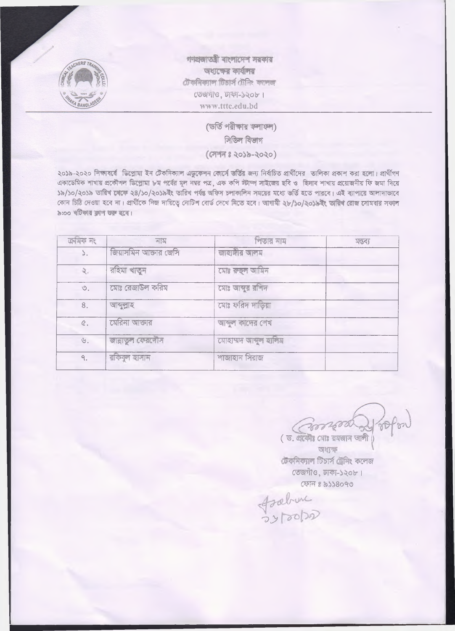

গণপ্ৰজাতত্ৰী বাংলাদেশ সরকার অধ্যক্ষের কার্যালয় টেকনিক্যাল টিচাৰ্স টেনিং কলেজ তেজগাও, ঢাকা-১২০৮। www.tttc.edu.bd

> (ডর্তি পরীক্ষার ফলাফল) সিভিল বিভাগ  $($  (अगम : २०३२-२०२०)

২০১৯-২০২০ শিক্ষাৰৰ্বে ভিপ্ৰোমা ইন টেকনিক্যাল এভকেশন কোৰ্সে ভৰ্ত্তির জন্য নিৰ্বাচিত প্রার্থীদের তালিকা প্রকাশ করা হলো। প্রার্থীগণ একাডেমিক শাখায় প্রকৌশল ডিপ্রোমা ৮ম পর্বের মূল নম্বর পত্র, এক কপি স্টাম্প সাইজের ছবি ও হিসাব শাখায় প্রয়োজনীয় ফি জমা দিয়ে ১৯/১০/২০১৯ তারিখ বেকে ২৪/১০/২০১৯ইং তারিখ পর্যন্ত অফিস চলাকালিন সময়ের মধ্যে ভর্তি হতে পারবে। এই ব্যাপারে আলাদাভাবে কোন চিত্র দেওয়া হবে না। প্রার্থীকে নিজ দায়িত্বে নোটিশ বোর্ড দেখে নিতে হবে। আগামী ২৮/১০/২০১৯ইং তারিশ রোজ সোমবার সকল ৯:০০ খটিকায় কাশ শুরু হবে।

| ক্ৰমিক নং        | নাম                   | পিতার নাম             | মন্তব্য |
|------------------|-----------------------|-----------------------|---------|
| $\mathcal{L}$ .  | জিয়াসমিন আক্তার জেসি | জাহাঙ্গীর আলম         |         |
| ₹.               | রহিমা খাতুন           | মোঃ রুছল আমিন         |         |
| $\circledcirc$ . | মোঃ রেজাউল করিম       | মোঃ আব্দুর রশিদ       |         |
| 8.               | আব্দুল্লাহ            | মোঃ ফরিদ দাড়িয়া     |         |
| $\mathcal{C}$ .  | মেরিনা আক্তার         | আব্দুল কাদের শেখ      |         |
| $\mathcal{B}$ .  | জান্নাতুল কেরদৌস      | মোহাম্মদ আন্মূল হালিম |         |
| ٩.               | রকিবুল হাসান          | শাজাহান সিরাজ         |         |

(3001600

(ড. থকৌঃ মোঃ রমজান আলী অধ্যক্ষ টেকনিক্যাল টিচাৰ্স টেনিং কলেজ তেজগাঁও, ঢাকা-১২০৮। ফোন ঃ ৯১১৪০৭৩

frahime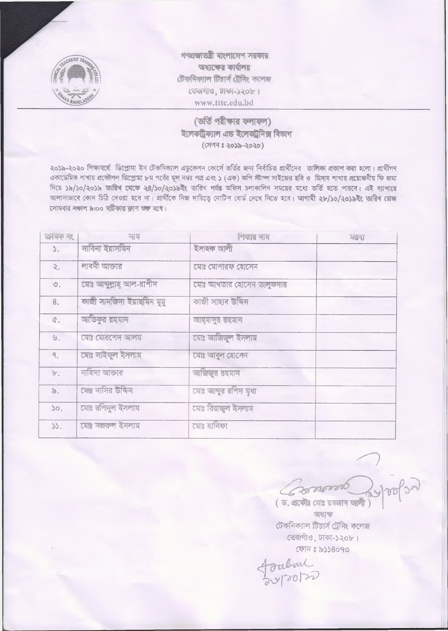

গণপ্ৰজাতন্ত্ৰী বাংলাদেশ সরকার অধ্যক্ষের কার্যালয় টেকনিক্যাল টিচাৰ্স টেনিং কলেজ তেজগাও, ঢাকা-১২০৮। www.tttc.edu.bd

## (ভৰ্তি পরীক্ষার ফলাফল) ইলেকট্ৰিক্যাল এড ইলেকট্ৰনিক্স বিভাগ (সেন্স ঃ ২০১৯-২০২০)

২০১৯-২০২০ শিক্ষাবর্ষে ডিপ্লোমা ইন টেকনিক্যাল এডুকেশন কোর্সে ভর্তির জন্য নির্বাচিত প্রার্থীদের তালিকা প্রকাশ করা হলো। প্রার্থীগণ একাডেমিক শাখায় প্রকৌশল ডিপ্রোমা ৮ম পর্বের মূল নম্বর পত্র এবং ১ (এক) কপি স্টাম্প সাইজের ছবি ও হিসাব শাখায় প্রয়োজনীয় ফি জমা দিয়ে ১৯/১০/২০১৯ তারিশ থেকে ২৪/১০/২০১৯ইং তারিখ পর্যন্ত অফিস চলাকালিন সময়ের মধ্যে ভর্তি হতে পারবে। এই ব্যাপারে আলাদাভাবে কোন চিঠি দেওয়া হবে না। প্রার্থীকে নিজ দায়িত্বে নোটিশ বোর্ড দেশে নিতে হবে। আগামী ২৮/১০/২০১৯ইং তারিখ রোজ সোমবার সকাল ৯:০০ ঘটিকার ক্লাশ ওরু হবে।

| कार्यक न१        | নাম                        | পিতার লাম                | <b>AGER</b> |
|------------------|----------------------------|--------------------------|-------------|
| $\mathcal{L}$    | সাবিনা ইয়াসমিন            | ইসাহক আলী                |             |
| 2.               | লাবনী আক্তার               | মোঃ মোশারফ হোসেন         |             |
| $\circledcirc$ . | মোঃ আব্দুল্লাহ্ আল-রাশীদ   | মোঃ আখতার হোসেন তালুকদার |             |
| 8.               | কাজী সানজিদা ইয়াছমিন মুমু | কাজী সাহাব উদ্দিন        |             |
| $\mathcal{C}$ .  | আতিকুর রহমান               | আহ্মাদুর রহমান           |             |
| $U$ .            | মোঃ মোরশেদ আলম             | মোঃ আজিজুল ইসলাম         |             |
| ٩.               | মোঃ সাইফুল ইসলাম           | মোঃ আবুল হোসেন           |             |
| ${\tt b}$ .      | নাহিদা আক্তার              | আজিজুর রহমান             |             |
| s.               | মোঃ নাসির উদ্দিন           | মোঃ আন্দুর রশিদ মুধা     |             |
| 50.              | মোঃ রশিদুল ইসলাম           | মোঃ রিয়াজুল ইসলাম       |             |
| 33.              | মোঃ নজরুল ইসলাম            | মোঃ হানিফা               |             |
|                  |                            |                          |             |

Coronordo ( ড. একৌঃ মোঃ রমজান আলী)

অধ্যক্ষ টেকনিক্যাল টিচাৰ্স ট্ৰেনিং কলেজ তেজগাঁও, ঢাকা-১২০৮। ফোন ঃ ৯১১৪০৭৩

foulune